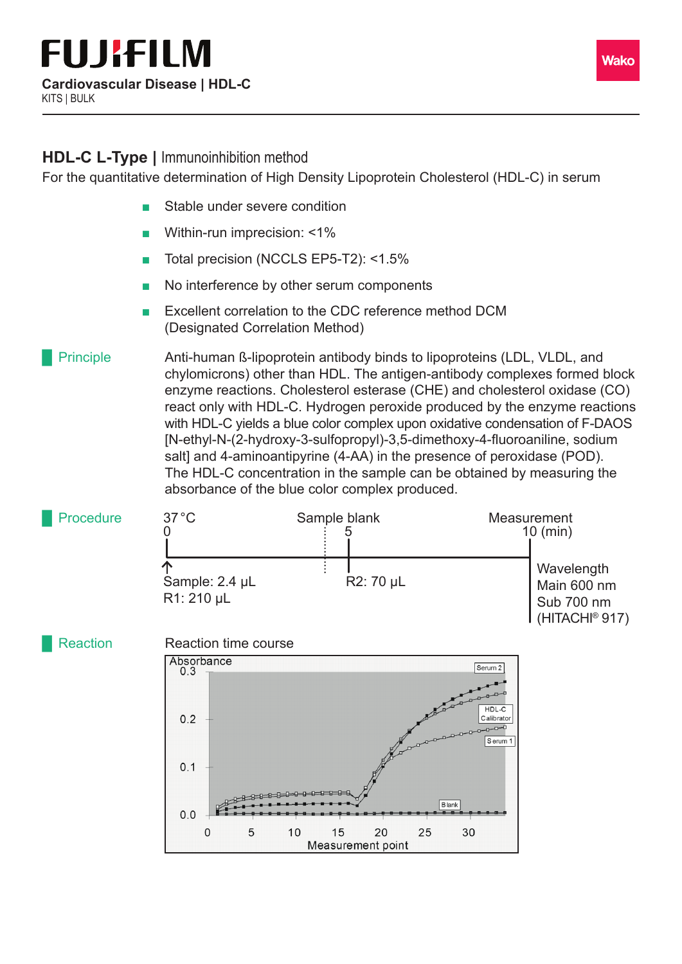## **HDL-C L-Type |** Immunoinhibition method

For the quantitative determination of High Density Lipoprotein Cholesterol (HDL-C) in serum

- Stable under severe condition
- Within-run imprecision: <1%
- Total precision (NCCLS EP5-T2): <1.5%
- No interference by other serum components
- Excellent correlation to the CDC reference method DCM (Designated Correlation Method)

## Anti-human ß-lipoprotein antibody binds to lipoproteins (LDL, VLDL, and chylomicrons) other than HDL. The antigen-antibody complexes formed block enzyme reactions. Cholesterol esterase (CHE) and cholesterol oxidase (CO) react only with HDL-C. Hydrogen peroxide produced by the enzyme reactions with HDL-C yields a blue color complex upon oxidative condensation of F-DAOS [N-ethyl-N-(2-hydroxy-3-sulfopropyl)-3,5-dimethoxy-4-fluoroaniline, sodium salt] and 4-aminoantipyrine (4-AA) in the presence of peroxidase (POD). The HDL-C concentration in the sample can be obtained by measuring the absorbance of the blue color complex produced. **Principle**